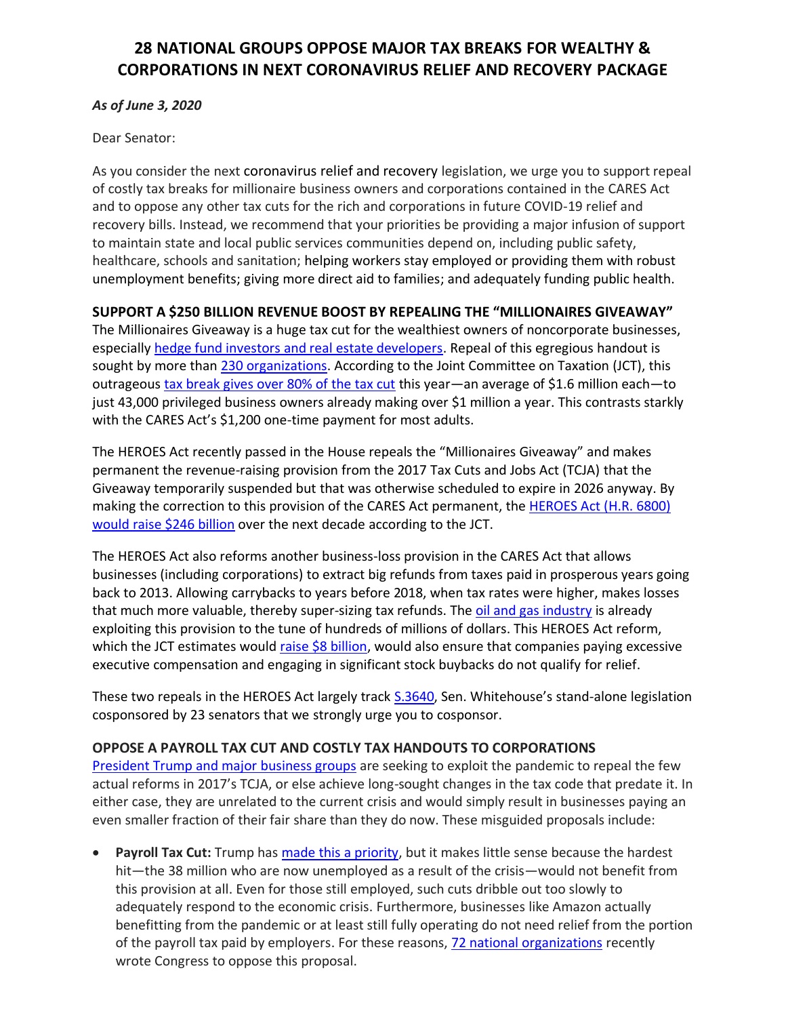## **28 NATIONAL GROUPS OPPOSE MAJOR TAX BREAKS FOR WEALTHY & CORPORATIONS IN NEXT CORONAVIRUS RELIEF AND RECOVERY PACKAGE**

## *As of June 3, 2020*

Dear Senator:

As you consider the next coronavirus relief and recovery legislation, we urge you to support repeal of costly tax breaks for millionaire business owners and corporations contained in the CARES Act and to oppose any other tax cuts for the rich and corporations in future COVID-19 relief and recovery bills. Instead, we recommend that your priorities be providing a major infusion of support to maintain state and local public services communities depend on, including public safety, healthcare, schools and sanitation; helping workers stay employed or providing them with robust unemployment benefits; giving more direct aid to families; and adequately funding public health.

## **SUPPORT A \$250 BILLION REVENUE BOOST BY REPEALING THE "MILLIONAIRES GIVEAWAY"**

The Millionaires Giveaway is a huge tax cut for the wealthiest owners of noncorporate businesses, especially [hedge fund investors and real estate developers.](https://www.taxpolicycenter.org/taxvox/heads-i-win-tails-i-win-too-winners-tax-relief-losses-cares-act) Repeal of this egregious handout is sought by more than [230 organizations.](https://americansfortaxfairness.org/issue/174-groups-oppose-major-business-tax-breaks-cares-act/) According to the Joint Committee on Taxation (JCT), this outrageous tax break [gives over 80% of the tax cut](https://americansfortaxfairness.org/issue/pressure-builds-repeal-135-billion-millionaires-giveaway-cares-act/) this year—an average of \$1.6 million each—to just 43,000 privileged business owners already making over \$1 million a year. This contrasts starkly with the CARES Act's \$1,200 one-time payment for most adults.

The HEROES Act recently passed in the House repeals the "Millionaires Giveaway" and makes permanent the revenue-raising provision from the 2017 Tax Cuts and Jobs Act (TCJA) that the Giveaway temporarily suspended but that was otherwise scheduled to expire in 2026 anyway. By making the correction to this provision of the CARES Act permanent, the [HEROES Act \(H.R. 6800\)](https://americansfortaxfairness.org/wp-content/uploads/2020-5-15-HEROES-Act-Passage-Press-Release-1.pdf)  [would raise \\$246 billion](https://americansfortaxfairness.org/wp-content/uploads/2020-5-15-HEROES-Act-Passage-Press-Release-1.pdf) over the next decade according to the JCT.

The HEROES Act also reforms another business-loss provision in the CARES Act that allows businesses (including corporations) to extract big refunds from taxes paid in prosperous years going back to 2013. Allowing carrybacks to years before 2018, when tax rates were higher, makes losses that much more valuable, thereby super-sizing tax refunds. Th[e oil and gas industry](https://www.bloomberg.com/news/articles/2020-05-15/-stealth-bailout-shovels-millions-of-dollars-to-oil-companies) is already exploiting this provision to the tune of hundreds of millions of dollars. This HEROES Act reform, which the JCT estimates would [raise \\$8 billion,](https://www.jct.gov/publications.html?func=startdown&id=5260) would also ensure that companies paying excessive executive compensation and engaging in significant stock buybacks do not qualify for relief.

These two repeals in the HEROES Act largely track [S.3640](https://www.congress.gov/bill/116th-congress/senate-bill/3640?s=1&r=2), Sen. Whitehouse's stand-alone legislation cosponsored by 23 senators that we strongly urge you to cosponsor.

## **OPPOSE A PAYROLL TAX CUT AND COSTLY TAX HANDOUTS TO CORPORATIONS**

[President Trump and major business groups](https://docs.google.com/spreadsheets/d/1Leohd2BlPalsUcOcd0Kg_7hjCV3paVldW0l7qj2KZF4/edit#gid=0) are seeking to exploit the pandemic to repeal the few actual reforms in 2017's TCJA, or else achieve long-sought changes in the tax code that predate it. In either case, they are unrelated to the current crisis and would simply result in businesses paying an even smaller fraction of their fair share than they do now. These misguided proposals include:

• **Payroll Tax Cut:** Trump has [made this a priority,](https://www.forbes.com/sites/jimwang/2020/05/04/president-trump-says-next-stimulus-package-must-have-payroll-tax-cut/#1ba44ff62315) but it makes little sense because the hardest hit—the 38 million who are now unemployed as a result of the crisis—would not benefit from this provision at all. Even for those still employed, such cuts dribble out too slowly to adequately respond to the economic crisis. Furthermore, businesses like Amazon actually benefitting from the pandemic or at least still fully operating do not need relief from the portion of the payroll tax paid by employers. For these reasons, [72 national organizations](https://americansfortaxfairness.org/issue/poorly-targeted-tax-cuts-not-response-covid-19-emergency/) recently wrote Congress to oppose this proposal.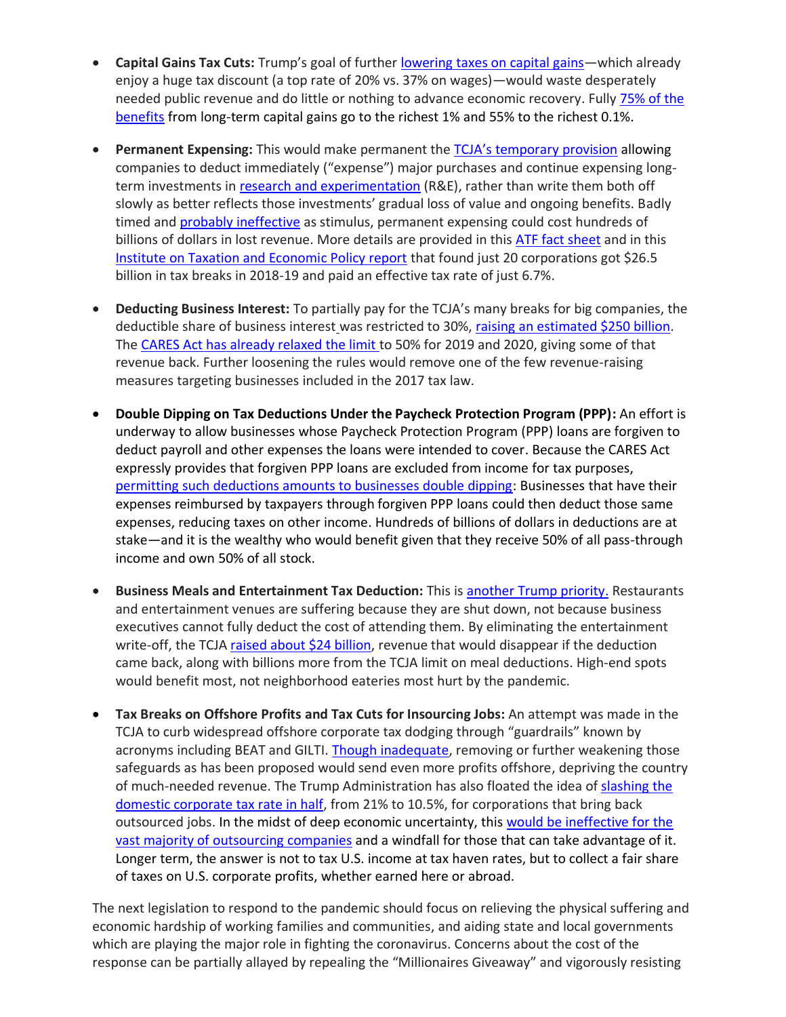- **Capital Gains Tax Cuts:** Trump's goal of further lowering [taxes on capital gains](https://www.nytimes.com/2020/05/05/business/economy/trump-tax-cuts-coronavirus-stimulus.html)—which already enjoy a huge tax discount (a top rate of 20% vs. 37% on wages)—would waste desperately needed public revenue and do little or nothing to advance economic recovery. Fully 75% of the [benefits](https://www.taxpolicycenter.org/taxvox/capital-gains-cuts-wont-cure-covid-19-economy) from long-term capital gains go to the richest 1% and 55% to the richest 0.1%.
- **Permanent Expensing:** This would make permanent the [TCJA's temporary provision](https://www.accountingweb.com/tax/business-tax/how-tax-law-changes-depreciation-and-expensing) allowing companies to deduct immediately ("expense") major purchases and continue expensing longterm investments i[n research and experimentation](https://www.thetaxadviser.com/newsletters/2019/tcja-effect-research-development-tax-credit-planning.html) (R&E), rather than write them both off slowly as better reflects those investments' gradual loss of value and ongoing benefits. Badly timed and [probably ineffective](https://www.washingtonpost.com/us-policy/2019/02/13/billion-business-tax-break-meant-raise-wages-is-instead-helping-companies-replace-workers-with-machines-study-says/) as stimulus, permanent expensing could cost hundreds of billions of dollars in lost revenue. More details are provided in thi[s ATF fact sheet](https://americansfortaxfairness.org/issue/dont-make-tax-shelters-great-permanent-expensing-not-new-covid-legislation/) and in this [Institute on Taxation and Economic Policy report](https://itep.org/depreciation-breaks-have-saved-20-major-corporations-26-5-billion-over-past-two-years/) that found just 20 corporations got \$26.5 billion in tax breaks in 2018-19 and paid an effective tax rate of just 6.7%.
- **Deducting Business Interest:** To partially pay for the TCJA's many breaks for big companies, the deductible share of business interest was restricted to 30%, [raising an estimated \\$250 billion.](https://www.jct.gov/publications.html?func=startdown&id=5053) The [CARES Act has already relaxed](https://www.cpapracticeadvisor.com/tax-compliance/news/21134732/cares-act-changes-rules-for-business-interest-deductions) the limit to 50% for 2019 and 2020, giving some of that revenue back. Further loosening the rules would remove one of the few revenue-raising measures targeting businesses included in the 2017 tax law.
- **Double Dipping on Tax Deductions Under the Paycheck Protection Program (PPP):** An effort is underway to allow businesses whose Paycheck Protection Program (PPP) loans are forgiven to deduct payroll and other expenses the loans were intended to cover. Because the CARES Act expressly provides that forgiven PPP loans are excluded from income for tax purposes, [permitting such deductions amounts to businesses double dipping:](https://www.taxpolicycenter.org/taxvox/tax-101-expenses-reimbursed-covid-19-aid-should-not-be-deductible) Businesses that have their expenses reimbursed by taxpayers through forgiven PPP loans could then deduct those same expenses, reducing taxes on other income. Hundreds of billions of dollars in deductions are at stake—and it is the wealthy who would benefit given that they receive 50% of all pass-through income and own 50% of all stock.
- **Business Meals and Entertainment Tax Deduction:** This i[s another Trump priority.](https://thehill.com/homenews/administration/490619-trump-calls-on-congress-to-restore-tax-deductions-for-business-meals) Restaurants and entertainment venues are suffering because they are shut down, not because business executives cannot fully deduct the cost of attending them. By eliminating the entertainment write-off, the TCJA [raised about \\$24 billion,](https://www.jct.gov/publications.html?func=startdown&id=5053) revenue that would disappear if the deduction came back, along with billions more from the TCJA limit on meal deductions. High-end spots would benefit most, not neighborhood eateries most hurt by the pandemic.
- **Tax Breaks on Offshore Profits and Tax Cuts for Insourcing Jobs:** An attempt was made in the TCJA to curb widespread offshore corporate tax dodging through "guardrails" known by acronyms including BEAT and GILTI. [Though inadequate,](https://cdn.americanprogress.org/content/uploads/2020/01/29121458/InternationalTaxAfterTCJA-brief1.pdf) removing or further weakening those safeguards as has been proposed would send even more profits offshore, depriving the country of much-needed revenue. The Trump Administration has also floated the idea of [slashing](https://www.washingtonpost.com/business/2020/05/15/white-house-floats-large-corporate-tax-cut-firms-that-bring-jobs-back-overseas/) the [domestic corporate tax rate in half,](https://www.washingtonpost.com/business/2020/05/15/white-house-floats-large-corporate-tax-cut-firms-that-bring-jobs-back-overseas/) from 21% to 10.5%, for corporations that bring back outsourced jobs. In the midst of deep economic uncertainty, this [would be ineffective for the](https://americansfortaxfairness.org/issue/tax-cuts-insourcing-corporations-costly-mistake/)  [vast majority of outsourcing companies](https://americansfortaxfairness.org/issue/tax-cuts-insourcing-corporations-costly-mistake/) and a windfall for those that can take advantage of it. Longer term, the answer is not to tax U.S. income at tax haven rates, but to collect a fair share of taxes on U.S. corporate profits, whether earned here or abroad.

The next legislation to respond to the pandemic should focus on relieving the physical suffering and economic hardship of working families and communities, and aiding state and local governments which are playing the major role in fighting the coronavirus. Concerns about the cost of the response can be partially allayed by repealing the "Millionaires Giveaway" and vigorously resisting